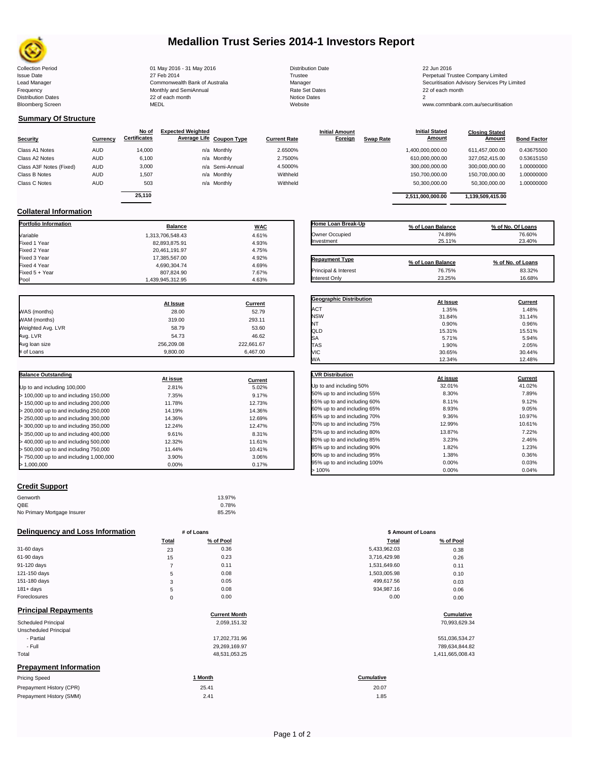

## **Medallion Trust Series 2014-1 Investors Report**

Collection Period 22 Jun 2016 1991 May 2016 - 31 May 2016 2016 2016 22 Jun 2016 Issue Date 2014 27 Feb 2014 27 Feb 2014<br>Isaad Manager 2006 2017 Commonwealth Bank of Australia 2007 Manager 2008 2017 19:30 2017 Securitisation Advisory Services Pty Frequency 22 of each month Monthly and SemiAnnual Rate Set Dates 22 of each month 22 of each month 22 of each month<br>Distribution Dates 22 of each month 22 of each month 20 of each month and the Set Dates 20 month 2 Bloomberg Screen MEDL Website www.commbank.com.au/securitisation

Lead Manager **Commonwealth Bank of Australia** Manager Manager Securitisation Advisory Services Pty Limited

**Closing Stated Amount**

 $\Box$ 

### **Summary Of Structure**

**Collateral Information**

|                         |            | No of               | <b>Expected Weighted</b> |                          |                     | <b>Initial Amount</b> |                  | <b>Initial Stated</b> | <b>Closing Stated</b> |                    |
|-------------------------|------------|---------------------|--------------------------|--------------------------|---------------------|-----------------------|------------------|-----------------------|-----------------------|--------------------|
| <b>Security</b>         | Currency   | <b>Certificates</b> |                          | Average Life Coupon Type | <b>Current Rate</b> | Foreign               | <b>Swap Rate</b> | <b>Amount</b>         | Amount                | <b>Bond Factor</b> |
| Class A1 Notes          | <b>AUD</b> | 14,000              |                          | n/a Monthly              | 2.6500%             |                       |                  | 1,400,000,000.00      | 611.457.000.00        | 0.43675500         |
| Class A2 Notes          | <b>AUD</b> | 6,100               |                          | n/a Monthly              | 2.7500%             |                       |                  | 610,000,000.00        | 327.052.415.00        | 0.53615150         |
| Class A3F Notes (Fixed) | <b>AUD</b> | 3,000               |                          | n/a Semi-Annual          | 4.5000%             |                       |                  | 300,000,000.00        | 300.000.000.00        | 1.00000000         |
| Class B Notes           | <b>AUD</b> | 1.507               |                          | n/a Monthly              | Withheld            |                       |                  | 150,700,000.00        | 150,700,000.00        | 1.00000000         |
| Class C Notes           | <b>AUD</b> | 503                 |                          | n/a Monthly              | Withheld            |                       |                  | 50,300,000.00         | 50,300,000.00         | 1.00000000         |
|                         |            | 25.110              |                          |                          |                     |                       |                  |                       |                       |                    |
|                         |            |                     |                          |                          |                     |                       |                  | 2.511.000.000.00      | 1,139,509,415.00      |                    |

**Portfolio Information Balance WAC** Variable 4.61% Fixed 1 Year 4.93% Fixed 2 Year 20,461,191.97 20,461,191.97 4.75% 20,461,191.97 4.75%<br>بالاتواجه المستخدم 20,461,191.97 17.385.567.00 4.92% Fixed 3 Year 17,385,567.00 4.92%

Fixed 5 + Year 807,824.90 7.67%

1,439,945,312.95

| Home Loan Break-Up    | % of Loan Balance | % of No. Of Loans |
|-----------------------|-------------------|-------------------|
| Owner Occupied        | 74.89%            | 76.60%            |
| Investment            | 25.11%            | 23.40%            |
|                       |                   |                   |
| <b>Repayment Type</b> | % of Loan Balance | % of No. of Loans |
| Principal & Interest  | 76.75%            | 83.32%            |

**Initial Stated** 

|                   | At Issue   | Current    |
|-------------------|------------|------------|
| WAS (months)      | 28.00      | 52.79      |
| WAM (months)      | 319.00     | 293.11     |
| Weighted Avg. LVR | 58.79      | 53.60      |
| Avg. LVR          | 54.73      | 46.62      |
| Avg loan size     | 256.209.08 | 222,661.67 |
| # of Loans        | 9.800.00   | 6.467.00   |

4,690,304.74<br>807,824.90<br>7.67%

| <b>Balance Outstanding</b>              | At issue | Current |
|-----------------------------------------|----------|---------|
| Up to and including 100,000             | 2.81%    | 5.02%   |
| $>$ 100,000 up to and including 150,000 | 7.35%    | 9.17%   |
| $>$ 150,000 up to and including 200,000 | 11.78%   | 12.73%  |
| > 200,000 up to and including 250,000   | 14.19%   | 14.36%  |
| $>$ 250,000 up to and including 300,000 | 14.36%   | 12.69%  |
| $>$ 300,000 up to and including 350,000 | 12.24%   | 12.47%  |
| $>$ 350,000 up to and including 400,000 | 9.61%    | 8.31%   |
| $>$ 400,000 up to and including 500,000 | 12.32%   | 11.61%  |
| > 500,000 up to and including 750,000   | 11.44%   | 10.41%  |
| > 750,000 up to and including 1,000,000 | 3.90%    | 3.06%   |
| > 1.000.000                             | $0.00\%$ | 0.17%   |

| ⊍∟ພ                          | 19.9170  | 19.9170 |
|------------------------------|----------|---------|
| SА                           | 5.71%    | 5.94%   |
| TAS                          | 1.90%    | 2.05%   |
| VIC                          | 30.65%   | 30.44%  |
| WA                           | 12.34%   | 12.48%  |
| <b>LVR Distribution</b>      | At issue | Current |
| Up to and including 50%      | 32.01%   | 41.02%  |
| 50% up to and including 55%  | 8.30%    | 7.89%   |
| 55% up to and including 60%  | 8.11%    | 9.12%   |
| 60% up to and including 65%  | 8.93%    | 9.05%   |
| 65% up to and including 70%  | 9.36%    | 10.97%  |
| 70% up to and including 75%  | 12.99%   | 10.61%  |
| 75% up to and including 80%  | 13.87%   | 7.22%   |
| 80% up to and including 85%  | 3.23%    | 2.46%   |
| 85% up to and including 90%  | 1.82%    | 1.23%   |
| 90% up to and including 95%  | 1.38%    | 0.36%   |
| 95% up to and including 100% | 0.00%    | 0.03%   |
|                              |          |         |

### **Credit Support**

| Genworth                    | 13.97% |
|-----------------------------|--------|
| OBE                         | 0.78%  |
| No Primary Mortgage Insurer | 85.25% |

### **Delinquency and Loss Information # of Loans # 100 mm 100 mm 100 mm 100 mm 100 mm 100 mm 100 mm 100 mm**

|              | <b>Total</b> | % of Pool | Total        | % of Pool |
|--------------|--------------|-----------|--------------|-----------|
| 31-60 days   | 23           | 0.36      | 5,433,962.03 | 0.38      |
| 61-90 days   | 15           | 0.23      | 3,716,429.98 | 0.26      |
| 91-120 days  |              | 0.11      | 1,531,649.60 | 0.11      |
| 121-150 days | 5            | 0.08      | 1,503,005.98 | 0.10      |
| 151-180 days | 3            | 0.05      | 499,617.56   | 0.03      |
| $181 + days$ | 5            | 0.08      | 934.987.16   | 0.06      |
| Foreclosures | 0            | 0.00      | 0.00         | 0.00      |
|              |              |           |              |           |

| <b>Principal Repayments</b>   | <b>Current Month</b> | Cumulative        |
|-------------------------------|----------------------|-------------------|
| <b>Scheduled Principal</b>    | 2,059,151.32         | 70,993,629.34     |
| Unscheduled Principal         |                      |                   |
| - Partial                     | 17,202,731.96        | 551,036,534.27    |
| - Full                        | 29,269,169.97        | 789,634,844.82    |
| Total                         | 48,531,053.25        | 1,411,665,008.43  |
| <b>Prepayment Information</b> |                      |                   |
| <b>Pricing Speed</b>          | 1 Month              | <b>Cumulative</b> |

| <b>Pricing Speed</b>     | Month | <b>Cumulative</b> |
|--------------------------|-------|-------------------|
| Prepayment History (CPR) | 25.41 | 20.07             |
| Prepayment History (SMM) | 2.41  | .85               |

| <b>Repayment Type</b>          | % of Loan Balance | % of No. of Loans |
|--------------------------------|-------------------|-------------------|
| Principal & Interest           | 76.75%            | 83.32%            |
| Interest Only                  | 23.25%            | 16.68%            |
|                                |                   |                   |
|                                |                   |                   |
| <b>Geographic Distribution</b> | At Issue          | Current           |

# ACT 1.35% 1.48% NSW 31.84% 31.14% NT  $0.90\%$  0.96% 0.96% QLD 15.31% 15.51%

| <b>LVR Distribution</b>      | At issue | Current |
|------------------------------|----------|---------|
| Up to and including 50%      | 32.01%   | 41.02%  |
| 50% up to and including 55%  | 8.30%    | 7.89%   |
| 55% up to and including 60%  | 8.11%    | 9.12%   |
| 60% up to and including 65%  | 8.93%    | 9.05%   |
| 65% up to and including 70%  | 9.36%    | 10.97%  |
| 70% up to and including 75%  | 12.99%   | 10.61%  |
| 75% up to and including 80%  | 13.87%   | 7.22%   |
| 80% up to and including 85%  | 3.23%    | 2.46%   |
| 85% up to and including 90%  | 1.82%    | 1.23%   |
| 90% up to and including 95%  | 1.38%    | 0.36%   |
| 95% up to and including 100% | 0.00%    | 0.03%   |
| >100%                        | 0.00%    | 0.04%   |

| # OI LOANS |                      | <b>3 AINOUNT OF LOANS</b> |            |  |
|------------|----------------------|---------------------------|------------|--|
| Total      | % of Pool            | <b>Total</b>              | % of Pool  |  |
| 23         | 0.36                 | 5,433,962.03              | 0.38       |  |
| 15         | 0.23                 | 3,716,429.98              | 0.26       |  |
| 7          | 0.11                 | 1,531,649.60              | 0.11       |  |
| 5          | 0.08                 | 1,503,005.98              | 0.10       |  |
| 3          | 0.05                 | 499,617.56                | 0.03       |  |
| 5          | 0.08                 | 934,987.16                | 0.06       |  |
| 0          | 0.00                 | 0.00                      | 0.00       |  |
|            | <b>Current Month</b> |                           | Cumulative |  |

20.07